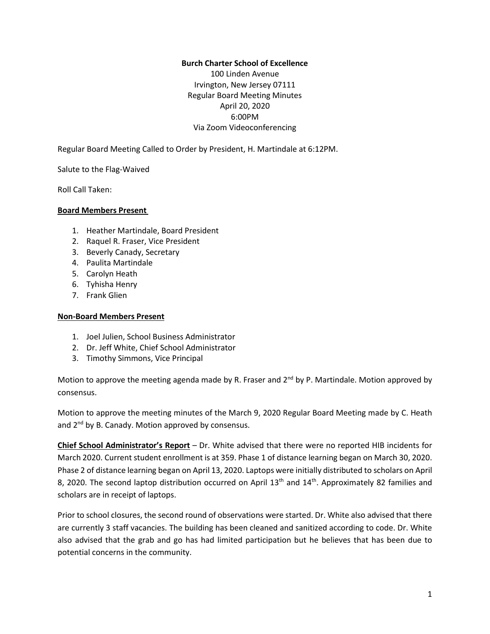#### **Burch Charter School of Excellence**

100 Linden Avenue Irvington, New Jersey 07111 Regular Board Meeting Minutes April 20, 2020 6:00PM Via Zoom Videoconferencing

Regular Board Meeting Called to Order by President, H. Martindale at 6:12PM.

Salute to the Flag-Waived

Roll Call Taken:

#### **Board Members Present**

- 1. Heather Martindale, Board President
- 2. Raquel R. Fraser, Vice President
- 3. Beverly Canady, Secretary
- 4. Paulita Martindale
- 5. Carolyn Heath
- 6. Tyhisha Henry
- 7. Frank Glien

#### **Non-Board Members Present**

- 1. Joel Julien, School Business Administrator
- 2. Dr. Jeff White, Chief School Administrator
- 3. Timothy Simmons, Vice Principal

Motion to approve the meeting agenda made by R. Fraser and 2<sup>nd</sup> by P. Martindale. Motion approved by consensus.

Motion to approve the meeting minutes of the March 9, 2020 Regular Board Meeting made by C. Heath and 2<sup>nd</sup> by B. Canady. Motion approved by consensus.

**Chief School Administrator's Report** – Dr. White advised that there were no reported HIB incidents for March 2020. Current student enrollment is at 359. Phase 1 of distance learning began on March 30, 2020. Phase 2 of distance learning began on April 13, 2020. Laptops were initially distributed to scholars on April 8, 2020. The second laptop distribution occurred on April  $13<sup>th</sup>$  and  $14<sup>th</sup>$ . Approximately 82 families and scholars are in receipt of laptops.

Prior to school closures, the second round of observations were started. Dr. White also advised that there are currently 3 staff vacancies. The building has been cleaned and sanitized according to code. Dr. White also advised that the grab and go has had limited participation but he believes that has been due to potential concerns in the community.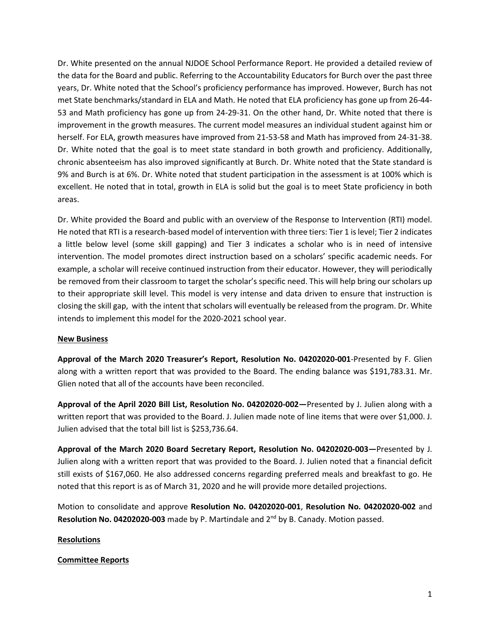Dr. White presented on the annual NJDOE School Performance Report. He provided a detailed review of the data for the Board and public. Referring to the Accountability Educators for Burch over the past three years, Dr. White noted that the School's proficiency performance has improved. However, Burch has not met State benchmarks/standard in ELA and Math. He noted that ELA proficiency has gone up from 26-44- 53 and Math proficiency has gone up from 24-29-31. On the other hand, Dr. White noted that there is improvement in the growth measures. The current model measures an individual student against him or herself. For ELA, growth measures have improved from 21-53-58 and Math has improved from 24-31-38. Dr. White noted that the goal is to meet state standard in both growth and proficiency. Additionally, chronic absenteeism has also improved significantly at Burch. Dr. White noted that the State standard is 9% and Burch is at 6%. Dr. White noted that student participation in the assessment is at 100% which is excellent. He noted that in total, growth in ELA is solid but the goal is to meet State proficiency in both areas.

Dr. White provided the Board and public with an overview of the Response to Intervention (RTI) model. He noted that RTI is a research-based model of intervention with three tiers: Tier 1 islevel; Tier 2 indicates a little below level (some skill gapping) and Tier 3 indicates a scholar who is in need of intensive intervention. The model promotes direct instruction based on a scholars' specific academic needs. For example, a scholar will receive continued instruction from their educator. However, they will periodically be removed from their classroom to target the scholar's specific need. This will help bring our scholars up to their appropriate skill level. This model is very intense and data driven to ensure that instruction is closing the skill gap, with the intent that scholars will eventually be released from the program. Dr. White intends to implement this model for the 2020-2021 school year.

#### **New Business**

**Approval of the March 2020 Treasurer's Report, Resolution No. 04202020-001**-Presented by F. Glien along with a written report that was provided to the Board. The ending balance was \$191,783.31. Mr. Glien noted that all of the accounts have been reconciled.

**Approval of the April 2020 Bill List, Resolution No. 04202020-002—**Presented by J. Julien along with a written report that was provided to the Board. J. Julien made note of line items that were over \$1,000. J. Julien advised that the total bill list is \$253,736.64.

**Approval of the March 2020 Board Secretary Report, Resolution No. 04202020-003—**Presented by J. Julien along with a written report that was provided to the Board. J. Julien noted that a financial deficit still exists of \$167,060. He also addressed concerns regarding preferred meals and breakfast to go. He noted that this report is as of March 31, 2020 and he will provide more detailed projections.

Motion to consolidate and approve **Resolution No. 04202020-001**, **Resolution No. 04202020-002** and **Resolution No. 04202020-003** made by P. Martindale and 2 nd by B. Canady. Motion passed.

# **Resolutions**

# **Committee Reports**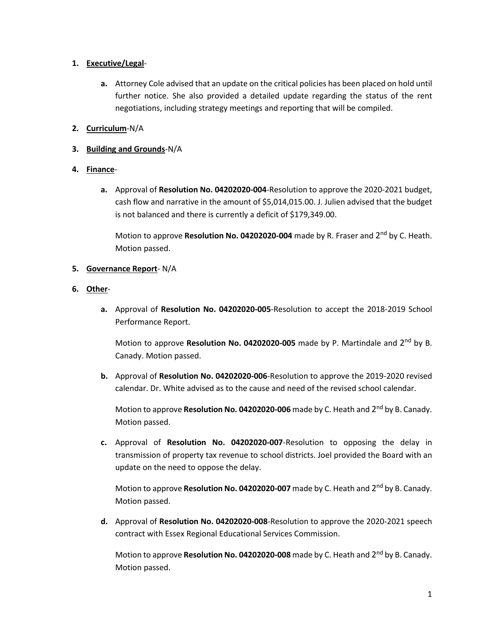## **1. Executive/Legal**-

**a.** Attorney Cole advised that an update on the critical policies has been placed on hold until further notice. She also provided a detailed update regarding the status of the rent negotiations, including strategy meetings and reporting that will be compiled.

# **2. Curriculum**-N/A

# **3. Building and Grounds**-N/A

## **4. Finance**-

**a.** Approval of **Resolution No. 04202020-004**-Resolution to approve the 2020-2021 budget, cash flow and narrative in the amount of \$5,014,015.00. J. Julien advised that the budget is not balanced and there is currently a deficit of \$179,349.00.

Motion to approve Resolution No. 04202020-004 made by R. Fraser and 2<sup>nd</sup> by C. Heath. Motion passed.

## **5. Governance Report**- N/A

- **6. Other**
	- **a.** Approval of **Resolution No. 04202020-005**-Resolution to accept the 2018-2019 School Performance Report.

Motion to approve Resolution No. 04202020-005 made by P. Martindale and 2<sup>nd</sup> by B. Canady. Motion passed.

**b.** Approval of **Resolution No. 04202020-006**-Resolution to approve the 2019-2020 revised calendar. Dr. White advised as to the cause and need of the revised school calendar.

Motion to approve **Resolution No. 04202020-006** made by C. Heath and 2 nd by B. Canady. Motion passed.

**c.** Approval of **Resolution No. 04202020-007**-Resolution to opposing the delay in transmission of property tax revenue to school districts. Joel provided the Board with an update on the need to oppose the delay.

Motion to approve **Resolution No. 04202020-007** made by C. Heath and 2 nd by B. Canady. Motion passed.

**d.** Approval of **Resolution No. 04202020-008**-Resolution to approve the 2020-2021 speech contract with Essex Regional Educational Services Commission.

Motion to approve **Resolution No. 04202020-008** made by C. Heath and 2 nd by B. Canady. Motion passed.